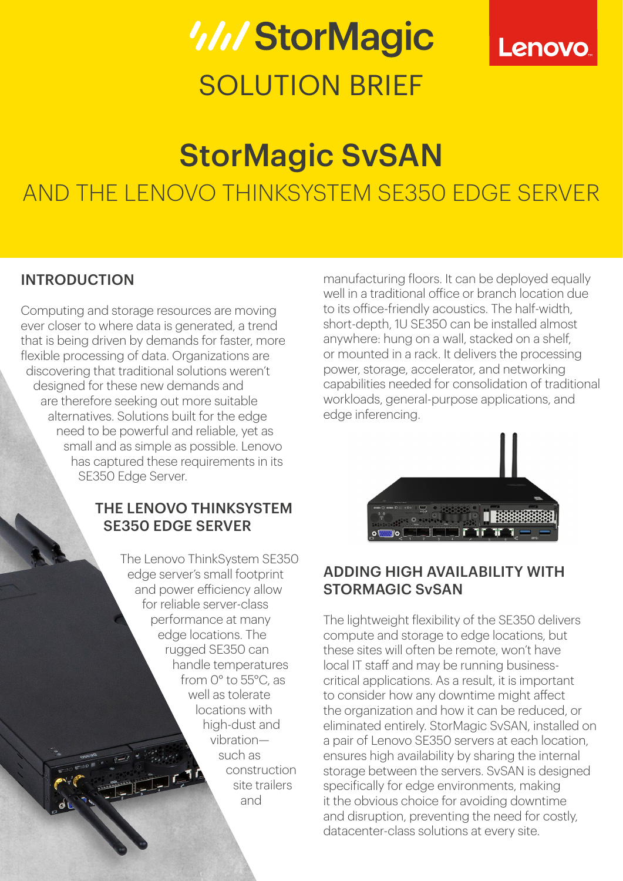# *WIStorMagic* SOLUTION BRIFF



# StorMagic SvSAN AND THE LENOVO THINKSYSTEM SE350 EDGE SERVER

### INTRODUCTION

Computing and storage resources are moving ever closer to where data is generated, a trend that is being driven by demands for faster, more flexible processing of data. Organizations are discovering that traditional solutions weren't designed for these new demands and are therefore seeking out more suitable alternatives. Solutions built for the edge need to be powerful and reliable, yet as small and as simple as possible. Lenovo has captured these requirements in its SE350 Edge Server.

#### THE LENOVO THINKSYSTEM SE350 EDGE SERVER

The Lenovo ThinkSystem SE350 edge server's small footprint and power efficiency allow for reliable server-class performance at many edge locations. The rugged SE350 can handle temperatures from 0° to 55°C, as well as tolerate locations with high-dust and vibration such as construction site trailers and

manufacturing floors. It can be deployed equally well in a traditional office or branch location due to its office-friendly acoustics. The half-width, short-depth, 1U SE350 can be installed almost anywhere: hung on a wall, stacked on a shelf, or mounted in a rack. It delivers the processing power, storage, accelerator, and networking capabilities needed for consolidation of traditional workloads, general-purpose applications, and edge inferencing.



#### ADDING HIGH AVAILABILITY WITH STORMAGIC SvSAN

The lightweight flexibility of the SE350 delivers compute and storage to edge locations, but these sites will often be remote, won't have local IT staff and may be running businesscritical applications. As a result, it is important to consider how any downtime might affect the organization and how it can be reduced, or eliminated entirely. StorMagic SvSAN, installed on a pair of Lenovo SE350 servers at each location, ensures high availability by sharing the internal storage between the servers. SvSAN is designed specifically for edge environments, making it the obvious choice for avoiding downtime and disruption, preventing the need for costly, datacenter-class solutions at every site.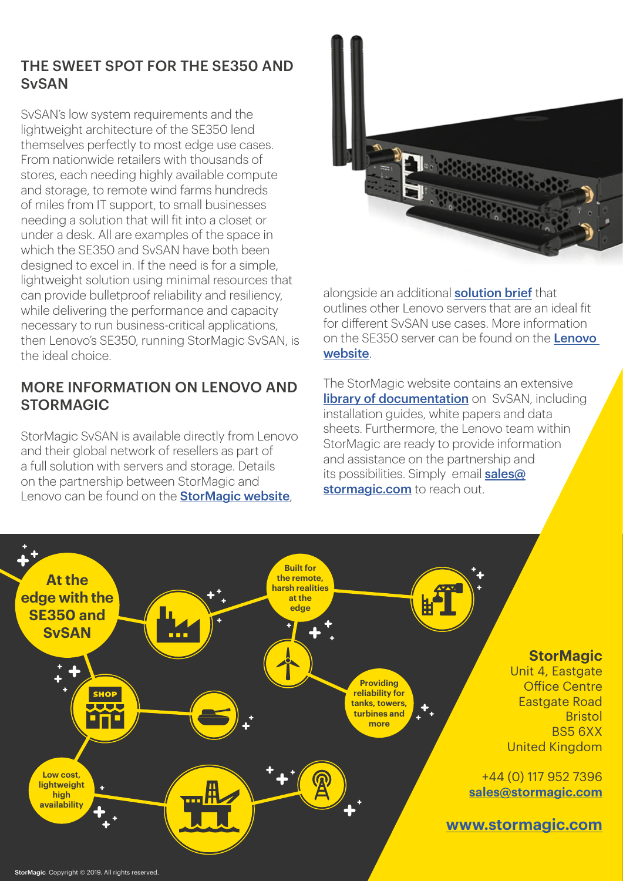#### THE SWEET SPOT FOR THE SE350 AND **SvSAN**

SvSAN's low system requirements and the lightweight architecture of the SE350 lend themselves perfectly to most edge use cases. From nationwide retailers with thousands of stores, each needing highly available compute and storage, to remote wind farms hundreds of miles from IT support, to small businesses needing a solution that will fit into a closet or under a desk. All are examples of the space in which the SE350 and SvSAN have both been designed to excel in. If the need is for a simple, lightweight solution using minimal resources that can provide bulletproof reliability and resiliency, while delivering the performance and capacity necessary to run business-critical applications, then Lenovo's SE350, running StorMagic SvSAN, is the ideal choice.

#### MORE INFORMATION ON LENOVO AND STORMAGIC

StorMagic SvSAN is available directly from Lenovo and their global network of resellers as part of a full solution with servers and storage. Details on the partnership between StorMagic and Lenovo can be found on the **[StorMagic website](https://stormagic.com/partners/technology-partners/svsan-with-lenovo/)** 



alongside an additional **[solution brief](https://stormagic.com/wp-content/uploads/2018/11/Stormagic-SvSAN-with-Lenovo-ThinkSystem.pdf)** that outlines other Lenovo servers that are an ideal fit for different SvSAN use cases. More information on the SE350 server can be found on the Lenovo [website](https://lenovopress.com/servers/thinksystem/se350).

The StorMagic website contains an extensive **[library of documentation](https://stormagic.com/svsan/documentation/)** on SvSAN, including installation guides, white papers and data sheets. Furthermore, the Lenovo team within StorMagic are ready to provide information and assistance on the partnership and its possibilities. Simply email [sales@](http://sales@stormagic.com) [stormagic.com](http://sales@stormagic.com) to reach out.